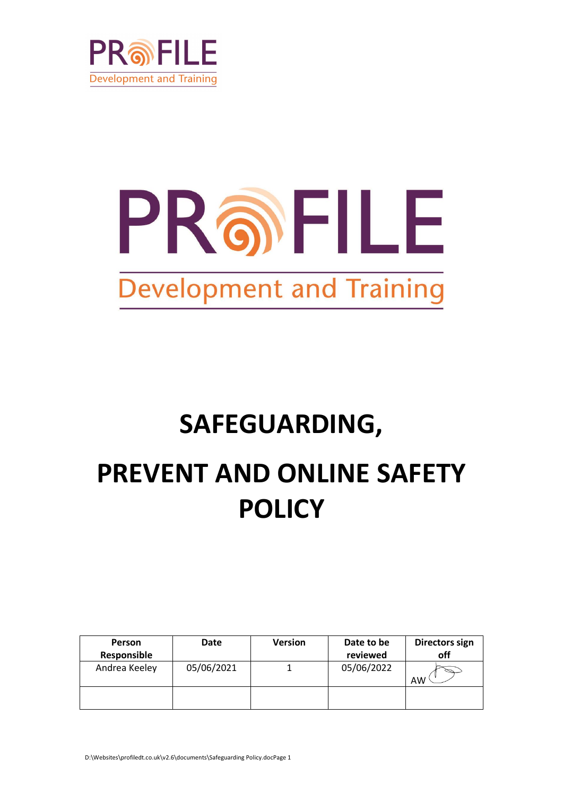

# PROFILE **Development and Training**

# **SAFEGUARDING, PREVENT AND ONLINE SAFETY POLICY**

| <b>Person</b><br>Responsible | Date       | <b>Version</b> | Date to be<br>reviewed | Directors sign<br>off |
|------------------------------|------------|----------------|------------------------|-----------------------|
| Andrea Keeley                | 05/06/2021 |                | 05/06/2022             | AW                    |
|                              |            |                |                        |                       |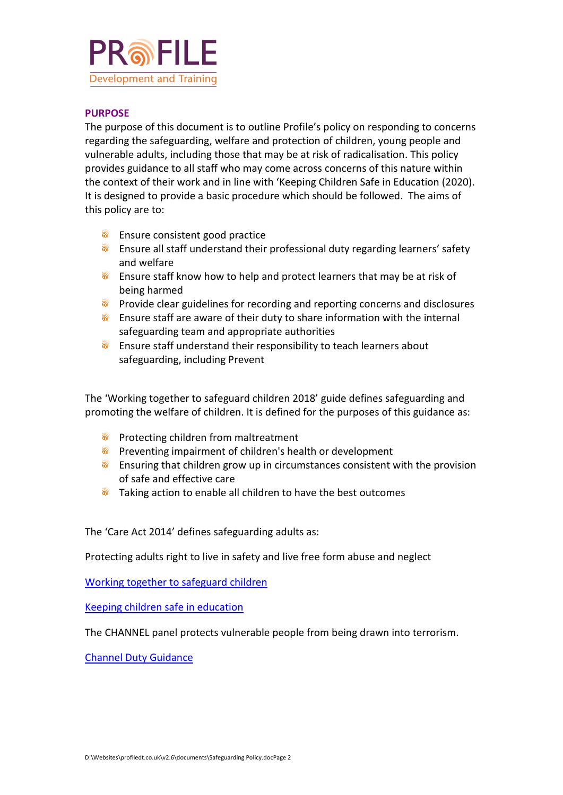

#### **PURPOSE**

The purpose of this document is to outline Profile's policy on responding to concerns regarding the safeguarding, welfare and protection of children, young people and vulnerable adults, including those that may be at risk of radicalisation. This policy provides guidance to all staff who may come across concerns of this nature within the context of their work and in line with 'Keeping Children Safe in Education (2020). It is designed to provide a basic procedure which should be followed. The aims of this policy are to:

- **S** Ensure consistent good practice
- **6** Ensure all staff understand their professional duty regarding learners' safety and welfare
- **Ensure staff know how to help and protect learners that may be at risk of** being harmed
- **•** Provide clear guidelines for recording and reporting concerns and disclosures
- **S** Ensure staff are aware of their duty to share information with the internal safeguarding team and appropriate authorities
- **S** Ensure staff understand their responsibility to teach learners about safeguarding, including Prevent

The 'Working together to safeguard children 2018' guide defines safeguarding and promoting the welfare of children. It is defined for the purposes of this guidance as:

- **•** Protecting children from maltreatment
- **•** Preventing impairment of children's health or development
- **Ensuring that children grow up in circumstances consistent with the provision** of safe and effective care
- **Taking action to enable all children to have the best outcomes**

The 'Care Act 2014' defines safeguarding adults as:

Protecting adults right to live in safety and live free form abuse and neglect

[Working together to safeguard children](https://www.gov.uk/government/publications/working-together-to-safeguard-children--2)

[Keeping children safe in education](https://www.gov.uk/government/publications/keeping-children-safe-in-education--2)

The CHANNEL panel protects vulnerable people from being drawn into terrorism.

[Channel Duty Guidance](https://assets.publishing.service.gov.uk/government/uploads/system/uploads/attachment_data/file/425189/Channel_Duty_Guidance_April_2015.pdf)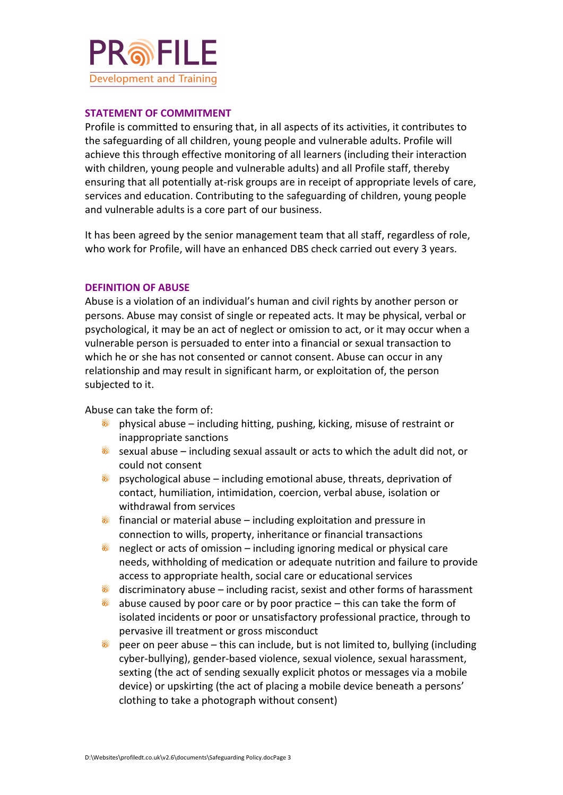

#### **STATEMENT OF COMMITMENT**

Profile is committed to ensuring that, in all aspects of its activities, it contributes to the safeguarding of all children, young people and vulnerable adults. Profile will achieve this through effective monitoring of all learners (including their interaction with children, young people and vulnerable adults) and all Profile staff, thereby ensuring that all potentially at-risk groups are in receipt of appropriate levels of care, services and education. Contributing to the safeguarding of children, young people and vulnerable adults is a core part of our business.

It has been agreed by the senior management team that all staff, regardless of role, who work for Profile, will have an enhanced DBS check carried out every 3 years.

#### **DEFINITION OF ABUSE**

Abuse is a violation of an individual's human and civil rights by another person or persons. Abuse may consist of single or repeated acts. It may be physical, verbal or psychological, it may be an act of neglect or omission to act, or it may occur when a vulnerable person is persuaded to enter into a financial or sexual transaction to which he or she has not consented or cannot consent. Abuse can occur in any relationship and may result in significant harm, or exploitation of, the person subjected to it.

Abuse can take the form of:

- ை physical abuse – including hitting, pushing, kicking, misuse of restraint or inappropriate sanctions
- $\delta$  sexual abuse including sexual assault or acts to which the adult did not, or could not consent
- ெ psychological abuse – including emotional abuse, threats, deprivation of contact, humiliation, intimidation, coercion, verbal abuse, isolation or withdrawal from services
- $\delta$  financial or material abuse including exploitation and pressure in connection to wills, property, inheritance or financial transactions
- ை neglect or acts of omission – including ignoring medical or physical care needs, withholding of medication or adequate nutrition and failure to provide access to appropriate health, social care or educational services
- ெ discriminatory abuse – including racist, sexist and other forms of harassment
- ை abuse caused by poor care or by poor practice – this can take the form of isolated incidents or poor or unsatisfactory professional practice, through to pervasive ill treatment or gross misconduct
- ெ peer on peer abuse – this can include, but is not limited to, bullying (including cyber-bullying), gender-based violence, sexual violence, sexual harassment, sexting (the act of sending sexually explicit photos or messages via a mobile device) or upskirting (the act of placing a mobile device beneath a persons' clothing to take a photograph without consent)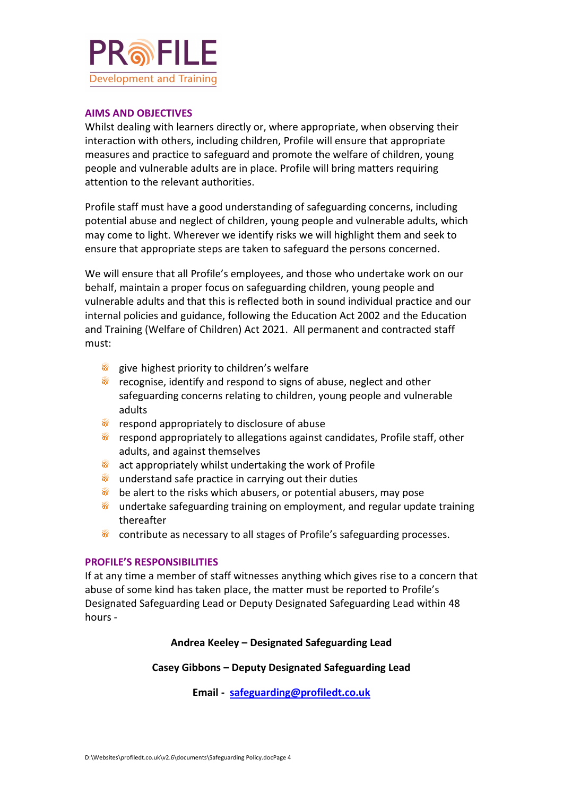

#### **AIMS AND OBJECTIVES**

Whilst dealing with learners directly or, where appropriate, when observing their interaction with others, including children, Profile will ensure that appropriate measures and practice to safeguard and promote the welfare of children, young people and vulnerable adults are in place. Profile will bring matters requiring attention to the relevant authorities.

Profile staff must have a good understanding of safeguarding concerns, including potential abuse and neglect of children, young people and vulnerable adults, which may come to light. Wherever we identify risks we will highlight them and seek to ensure that appropriate steps are taken to safeguard the persons concerned.

We will ensure that all Profile's employees, and those who undertake work on our behalf, maintain a proper focus on safeguarding children, young people and vulnerable adults and that this is reflected both in sound individual practice and our internal policies and guidance, following the Education Act 2002 and the Education and Training (Welfare of Children) Act 2021. All permanent and contracted staff must:

- s give highest priority to children's welfare
- ெ recognise, identify and respond to signs of abuse, neglect and other safeguarding concerns relating to children, young people and vulnerable adults
- **•** respond appropriately to disclosure of abuse
- **6** respond appropriately to allegations against candidates, Profile staff, other adults, and against themselves
- **a** act appropriately whilst undertaking the work of Profile
- **The understand safe practice in carrying out their duties**
- ெ be alert to the risks which abusers, or potential abusers, may pose
- **•** undertake safeguarding training on employment, and regular update training thereafter
- **•** contribute as necessary to all stages of Profile's safeguarding processes.

#### **PROFILE'S RESPONSIBILITIES**

If at any time a member of staff witnesses anything which gives rise to a concern that abuse of some kind has taken place, the matter must be reported to Profile's Designated Safeguarding Lead or Deputy Designated Safeguarding Lead within 48 hours -

#### **Andrea Keeley – Designated Safeguarding Lead**

#### **Casey Gibbons – Deputy Designated Safeguarding Lead**

**Email - [safeguarding@profiledt.co.uk](mailto:safeguarding@profiledt.co.uk)**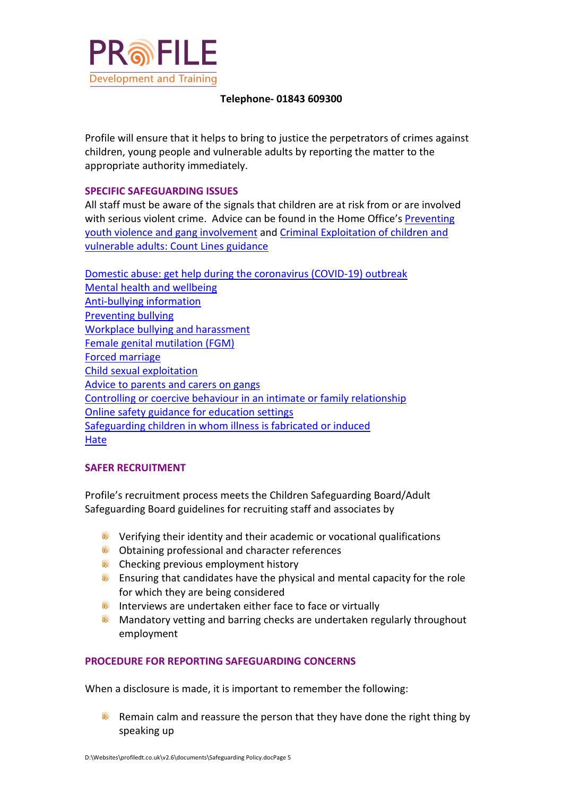

#### **Telephone- 01843 609300**

Profile will ensure that it helps to bring to justice the perpetrators of crimes against children, young people and vulnerable adults by reporting the matter to the appropriate authority immediately.

#### **SPECIFIC SAFEGUARDING ISSUES**

All staff must be aware of the signals that children are at risk from or are involved with serious violent crime. Advice can be found in the Home Office's [Preventing](https://assets.publishing.service.gov.uk/government/uploads/system/uploads/attachment_data/file/418131/Preventing_youth_violence_and_gang_involvement_v3_March2015.pdf)  [youth violence and gang involvement](https://assets.publishing.service.gov.uk/government/uploads/system/uploads/attachment_data/file/418131/Preventing_youth_violence_and_gang_involvement_v3_March2015.pdf) and [Criminal Exploitation of children and](https://assets.publishing.service.gov.uk/government/uploads/system/uploads/attachment_data/file/741194/HOCountyLinesGuidanceSept2018.pdf)  [vulnerable adults: Count Lines guidance](https://assets.publishing.service.gov.uk/government/uploads/system/uploads/attachment_data/file/741194/HOCountyLinesGuidanceSept2018.pdf)

[Domestic abuse: get help during the](https://www.gov.uk/guidance/domestic-abuse-how-to-get-help#coronavirus-covid-19-and-domestic-abuse) coronavirus (COVID-19) outbreak [Mental health and wellbeing](https://www.nhs.uk/conditions/stress-anxiety-depression/) [Anti-bullying information](https://www.anti-bullyingalliance.org.uk/) [Preventing bullying](https://www.gov.uk/government/publications/preventing-and-tackling-bullying) [Workplace bullying and harassment](https://www.gov.uk/workplace-bullying-and-harassment) Female genital [mutilation \(FGM\)](https://www.gov.uk/government/publications/multi-agency-statutory-guidance-on-female-genital-mutilation) [Forced marriage](https://www.gov.uk/guidance/forced-marriage) [Child sexual exploitation](https://www.gov.uk/government/publications/child-sexual-exploitation-definition-and-guide-for-practitioners) [Advice to parents and carers on gangs](https://www.gov.uk/government/publications/advice-to-parents-and-carers-on-gangs) [Controlling or coercive behaviour in an intimate or family relationship](https://www.gov.uk/government/publications/statutory-guidance-framework-controlling-or-coercive-behaviour-in-an-intimate-or-family-relationship) [Online safety guidance](https://www.kelsi.org.uk/child-protection-and-safeguarding/e-safety) for education settings [Safeguarding children in whom illness is fabricated](https://www.gov.uk/government/publications/safeguarding-children-in-whom-illness-is-fabricated-or-induced) or induced **[Hate](https://educateagainsthate.com/)** 

#### **SAFER RECRUITMENT**

Profile's recruitment process meets the Children Safeguarding Board/Adult Safeguarding Board guidelines for recruiting staff and associates by

- **•** Verifying their identity and their academic or vocational qualifications
- **•** Obtaining professional and character references
- **Checking previous employment history**
- **S** Ensuring that candidates have the physical and mental capacity for the role for which they are being considered
- **The Interviews are undertaken either face to face or virtually**
- **Mandatory vetting and barring checks are undertaken regularly throughout** employment

#### **PROCEDURE FOR REPORTING SAFEGUARDING CONCERNS**

When a disclosure is made, it is important to remember the following:

ଲି Remain calm and reassure the person that they have done the right thing by speaking up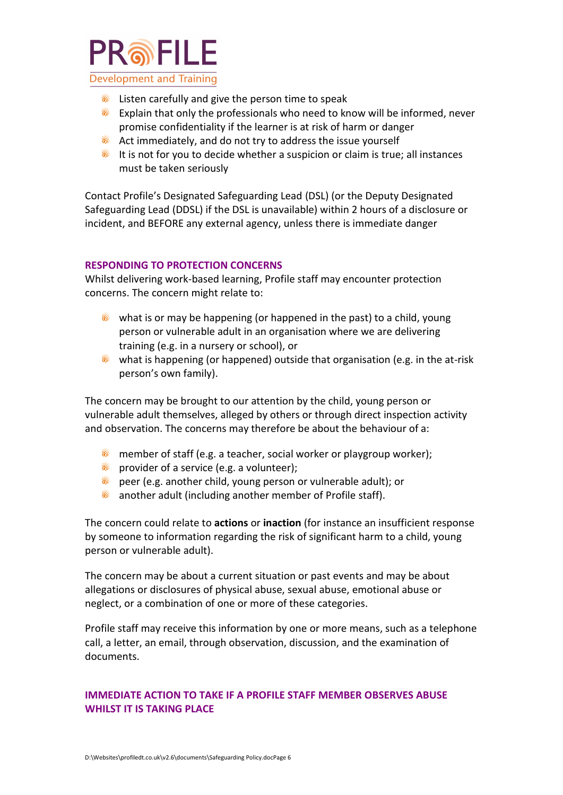

- Listen carefully and give the person time to speak ை
- ெ Explain that only the professionals who need to know will be informed, never promise confidentiality if the learner is at risk of harm or danger
- **Act immediately, and do not try to address the issue yourself**
- **If is not for you to decide whether a suspicion or claim is true; all instances** must be taken seriously

Contact Profile's Designated Safeguarding Lead (DSL) (or the Deputy Designated Safeguarding Lead (DDSL) if the DSL is unavailable) within 2 hours of a disclosure or incident, and BEFORE any external agency, unless there is immediate danger

#### **RESPONDING TO PROTECTION CONCERNS**

Whilst delivering work-based learning, Profile staff may encounter protection concerns. The concern might relate to:

- what is or may be happening (or happened in the past) to a child, young person or vulnerable adult in an organisation where we are delivering training (e.g. in a nursery or school), or
- $\bullet$  what is happening (or happened) outside that organisation (e.g. in the at-risk person's own family).

The concern may be brought to our attention by the child, young person or vulnerable adult themselves, alleged by others or through direct inspection activity and observation. The concerns may therefore be about the behaviour of a:

- **n** member of staff (e.g. a teacher, social worker or playgroup worker);
- **a** provider of a service (e.g. a volunteer);
- **Theorem Contract and the child, young person or vulnerable adult); or**
- ை another adult (including another member of Profile staff).

The concern could relate to **actions** or **inaction** (for instance an insufficient response by someone to information regarding the risk of significant harm to a child, young person or vulnerable adult).

The concern may be about a current situation or past events and may be about allegations or disclosures of physical abuse, sexual abuse, emotional abuse or neglect, or a combination of one or more of these categories.

Profile staff may receive this information by one or more means, such as a telephone call, a letter, an email, through observation, discussion, and the examination of documents.

#### **IMMEDIATE ACTION TO TAKE IF A PROFILE STAFF MEMBER OBSERVES ABUSE WHILST IT IS TAKING PLACE**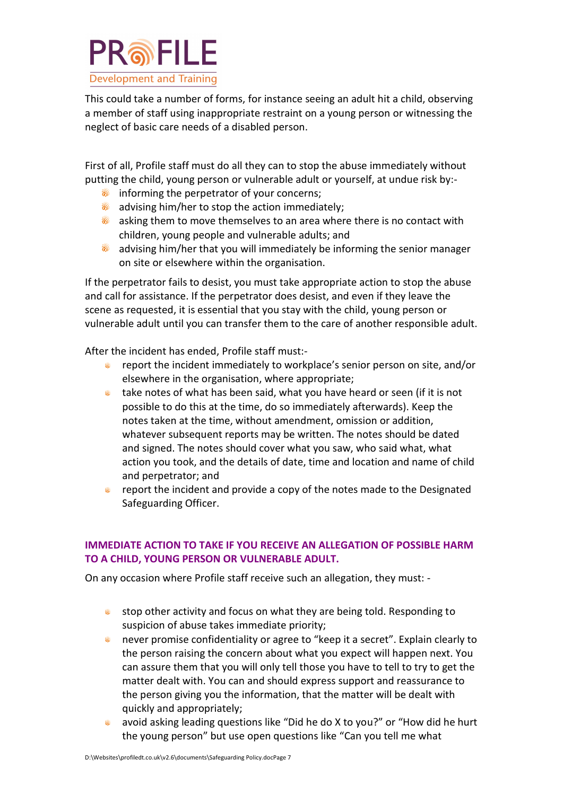

This could take a number of forms, for instance seeing an adult hit a child, observing a member of staff using inappropriate restraint on a young person or witnessing the neglect of basic care needs of a disabled person.

First of all, Profile staff must do all they can to stop the abuse immediately without putting the child, young person or vulnerable adult or yourself, at undue risk by:-

- **informing the perpetrator of your concerns;**
- ை advising him/her to stop the action immediately;
- **a** asking them to move themselves to an area where there is no contact with children, young people and vulnerable adults; and
- ை advising him/her that you will immediately be informing the senior manager on site or elsewhere within the organisation.

If the perpetrator fails to desist, you must take appropriate action to stop the abuse and call for assistance. If the perpetrator does desist, and even if they leave the scene as requested, it is essential that you stay with the child, young person or vulnerable adult until you can transfer them to the care of another responsible adult.

After the incident has ended, Profile staff must:-

- **•** report the incident immediately to workplace's senior person on site, and/or elsewhere in the organisation, where appropriate;
- take notes of what has been said, what you have heard or seen (if it is not ெ possible to do this at the time, do so immediately afterwards). Keep the notes taken at the time, without amendment, omission or addition, whatever subsequent reports may be written. The notes should be dated and signed. The notes should cover what you saw, who said what, what action you took, and the details of date, time and location and name of child and perpetrator; and
- **•** report the incident and provide a copy of the notes made to the Designated Safeguarding Officer.

#### **IMMEDIATE ACTION TO TAKE IF YOU RECEIVE AN ALLEGATION OF POSSIBLE HARM TO A CHILD, YOUNG PERSON OR VULNERABLE ADULT.**

On any occasion where Profile staff receive such an allegation, they must: -

- stop other activity and focus on what they are being told. Responding to ெ suspicion of abuse takes immediate priority;
- **never promise confidentiality or agree to "keep it a secret". Explain clearly to** the person raising the concern about what you expect will happen next. You can assure them that you will only tell those you have to tell to try to get the matter dealt with. You can and should express support and reassurance to the person giving you the information, that the matter will be dealt with quickly and appropriately;
- avoid asking leading questions like "Did he do X to you?" or "How did he hurt ெ the young person" but use open questions like "Can you tell me what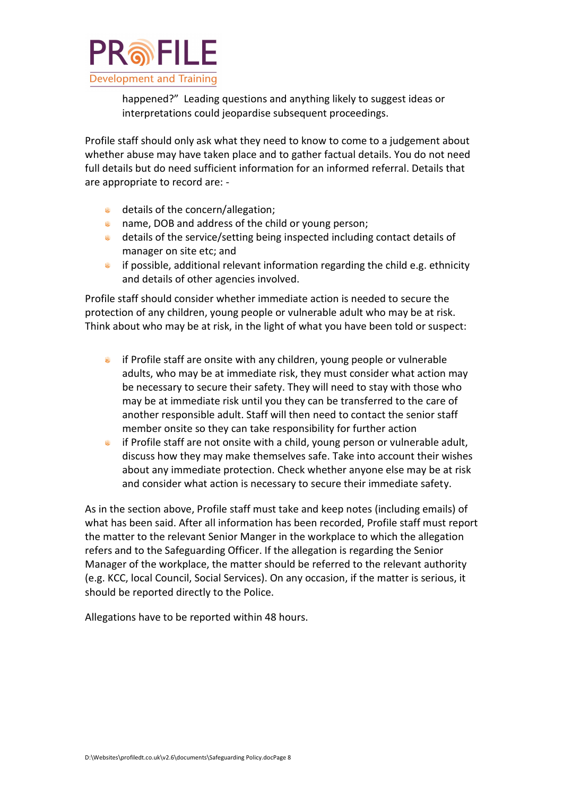

happened?" Leading questions and anything likely to suggest ideas or interpretations could jeopardise subsequent proceedings.

Profile staff should only ask what they need to know to come to a judgement about whether abuse may have taken place and to gather factual details. You do not need full details but do need sufficient information for an informed referral. Details that are appropriate to record are: -

- **a** details of the concern/allegation;
- **name, DOB and address of the child or young person;**
- details of the service/setting being inspected including contact details of manager on site etc; and
- if possible, additional relevant information regarding the child e.g. ethnicity ெ and details of other agencies involved.

Profile staff should consider whether immediate action is needed to secure the protection of any children, young people or vulnerable adult who may be at risk. Think about who may be at risk, in the light of what you have been told or suspect:

- if Profile staff are onsite with any children, young people or vulnerable  $\widehat{\circ}$ adults, who may be at immediate risk, they must consider what action may be necessary to secure their safety. They will need to stay with those who may be at immediate risk until you they can be transferred to the care of another responsible adult. Staff will then need to contact the senior staff member onsite so they can take responsibility for further action
- if Profile staff are not onsite with a child, young person or vulnerable adult, discuss how they may make themselves safe. Take into account their wishes about any immediate protection. Check whether anyone else may be at risk and consider what action is necessary to secure their immediate safety.

As in the section above, Profile staff must take and keep notes (including emails) of what has been said. After all information has been recorded, Profile staff must report the matter to the relevant Senior Manger in the workplace to which the allegation refers and to the Safeguarding Officer. If the allegation is regarding the Senior Manager of the workplace, the matter should be referred to the relevant authority (e.g. KCC, local Council, Social Services). On any occasion, if the matter is serious, it should be reported directly to the Police.

Allegations have to be reported within 48 hours.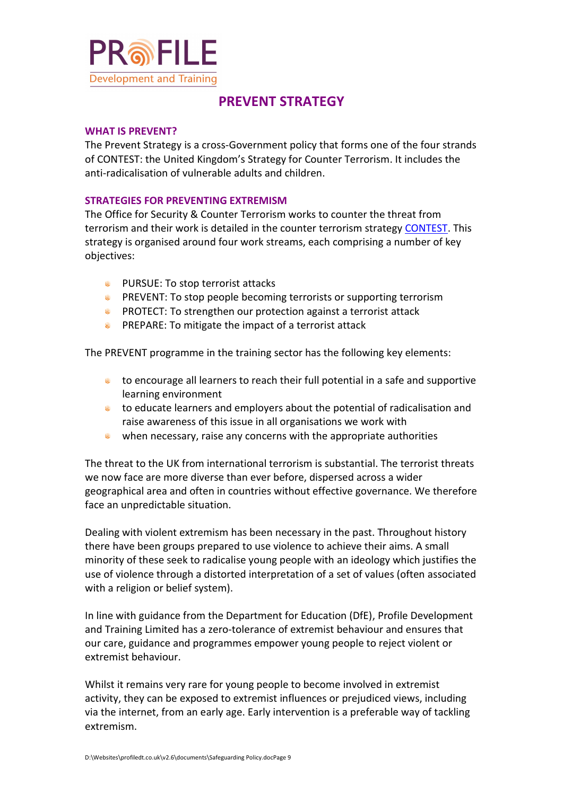

## **PREVENT STRATEGY**

#### **WHAT IS PREVENT?**

[The Prevent Strategy](http://www.traffordccg.nhs.uk/wp-content/uploads/2014/05/prevent-strategy-review.pdf) is a cross-Government policy that forms one of the four strands of CONTEST: the United Kingdom's [Strategy for Counter Terrorism.](http://www.traffordccg.nhs.uk/wp-content/uploads/2014/05/strategy-contest.pdf) It includes the anti-radicalisation of vulnerable adults and children.

#### **STRATEGIES FOR PREVENTING EXTREMISM**

The Office for Security & Counter Terrorism works to counter the threat from terrorism and their work is detailed in the counter terrorism strategy [CONTEST.](https://assets.publishing.service.gov.uk/government/uploads/system/uploads/attachment_data/file/716907/140618_CCS207_CCS0218929798-1_CONTEST_3.0_WEB.pdf) This strategy is organised around four work streams, each comprising a number of key objectives:

- **PURSUE: To stop terrorist attacks**
- **••** PREVENT: To stop people becoming terrorists or supporting terrorism
- **PROTECT: To strengthen our protection against a terrorist attack**
- **PREPARE:** To mitigate the impact of a terrorist attack

The PREVENT programme in the training sector has the following key elements:

- **s** to encourage all learners to reach their full potential in a safe and supportive learning environment
- **•** to educate learners and employers about the potential of radicalisation and raise awareness of this issue in all organisations we work with
- when necessary, raise any concerns with the appropriate authorities

The threat to the UK from international terrorism is substantial. The terrorist threats we now face are more diverse than ever before, dispersed across a wider geographical area and often in countries without effective governance. We therefore face an unpredictable situation.

Dealing with violent extremism has been necessary in the past. Throughout history there have been groups prepared to use violence to achieve their aims. A small minority of these seek to radicalise young people with an ideology which justifies the use of violence through a distorted interpretation of a set of values (often associated with a religion or belief system).

In line with guidance from the Department for Education (DfE), Profile Development and Training Limited has a zero-tolerance of extremist behaviour and ensures that our care, guidance and programmes empower young people to reject violent or extremist behaviour.

Whilst it remains very rare for young people to become involved in extremist activity, they can be exposed to extremist influences or prejudiced views, including via the internet, from an early age. Early intervention is a preferable way of tackling extremism.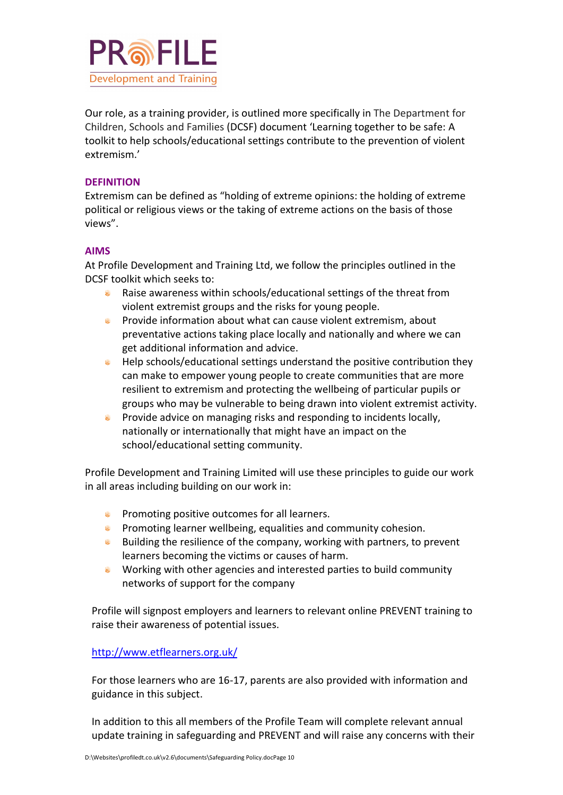

Our role, as a training provider, is outlined more specifically in The Department for Children, Schools and Families (DCSF) document 'Learning together to be safe: A toolkit to help schools/educational settings contribute to the prevention of violent extremism.'

#### **DEFINITION**

Extremism can be defined as "holding of extreme opinions: the holding of extreme political or religious views or the taking of extreme actions on the basis of those views".

#### **AIMS**

At Profile Development and Training Ltd, we follow the principles outlined in the DCSF toolkit which seeks to:

- ெ Raise awareness within schools/educational settings of the threat from violent extremist groups and the risks for young people.
- **•** Provide information about what can cause violent extremism, about preventative actions taking place locally and nationally and where we can get additional information and advice.
- **Musicis** Help schools/educational settings understand the positive contribution they can make to empower young people to create communities that are more resilient to extremism and protecting the wellbeing of particular pupils or groups who may be vulnerable to being drawn into violent extremist activity.
- **•** Provide advice on managing risks and responding to incidents locally, nationally or internationally that might have an impact on the school/educational setting community.

Profile Development and Training Limited will use these principles to guide our work in all areas including building on our work in:

- **Promoting positive outcomes for all learners.**
- **•** Promoting learner wellbeing, equalities and community cohesion.
- **Building the resilience of the company, working with partners, to prevent** learners becoming the victims or causes of harm.
- ெ Working with other agencies and interested parties to build community networks of support for the company

Profile will signpost employers and learners to relevant online PREVENT training to raise their awareness of potential issues.

#### <http://www.etflearners.org.uk/>

For those learners who are 16-17, parents are also provided with information and guidance in this subject.

In addition to this all members of the Profile Team will complete relevant annual update training in safeguarding and PREVENT and will raise any concerns with their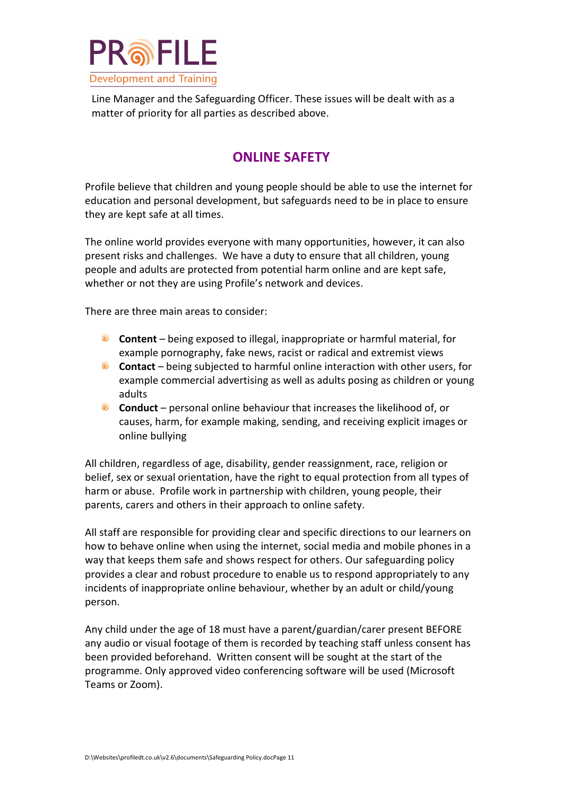

Line Manager and the Safeguarding Officer. These issues will be dealt with as a matter of priority for all parties as described above.

## **ONLINE SAFETY**

Profile believe that children and young people should be able to use the internet for education and personal development, but safeguards need to be in place to ensure they are kept safe at all times.

The online world provides everyone with many opportunities, however, it can also present risks and challenges. We have a duty to ensure that all children, young people and adults are protected from potential harm online and are kept safe, whether or not they are using Profile's network and devices.

There are three main areas to consider:

- ை **Content** – being exposed to illegal, inappropriate or harmful material, for example pornography, fake news, racist or radical and extremist views
- **Contact** being subjected to harmful online interaction with other users, for example commercial advertising as well as adults posing as children or young adults
- **Conduct** personal online behaviour that increases the likelihood of, or causes, harm, for example making, sending, and receiving explicit images or online bullying

All children, regardless of age, disability, gender reassignment, race, religion or belief, sex or sexual orientation, have the right to equal protection from all types of harm or abuse. Profile work in partnership with children, young people, their parents, carers and others in their approach to online safety.

All staff are responsible for providing clear and specific directions to our learners on how to behave online when using the internet, social media and mobile phones in a way that keeps them safe and shows respect for others. Our safeguarding policy provides a clear and robust procedure to enable us to respond appropriately to any incidents of inappropriate online behaviour, whether by an adult or child/young person.

Any child under the age of 18 must have a parent/guardian/carer present BEFORE any audio or visual footage of them is recorded by teaching staff unless consent has been provided beforehand. Written consent will be sought at the start of the programme. Only approved video conferencing software will be used (Microsoft Teams or Zoom).